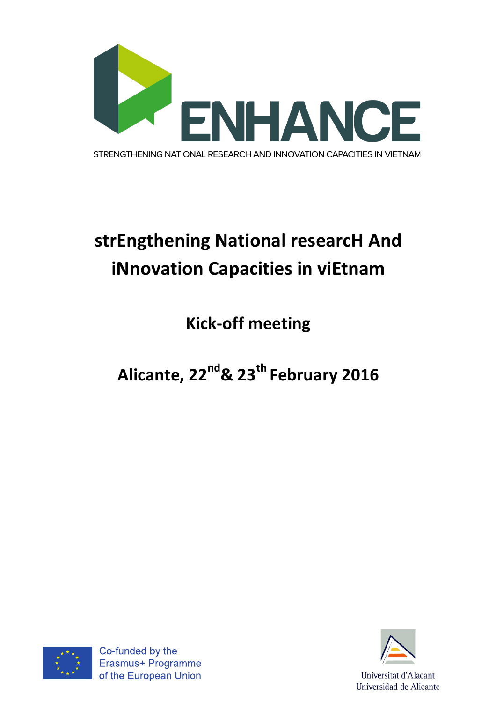

# strEngthening National researcH And **iNnovation Capacities in viEtnam**

**Kick-off meeting** 

Alicante, 22<sup>nd</sup>& 23<sup>th</sup> February 2016



Co-funded by the Erasmus+ Programme of the European Union



Universitat d'Alacant Universidad de Alicante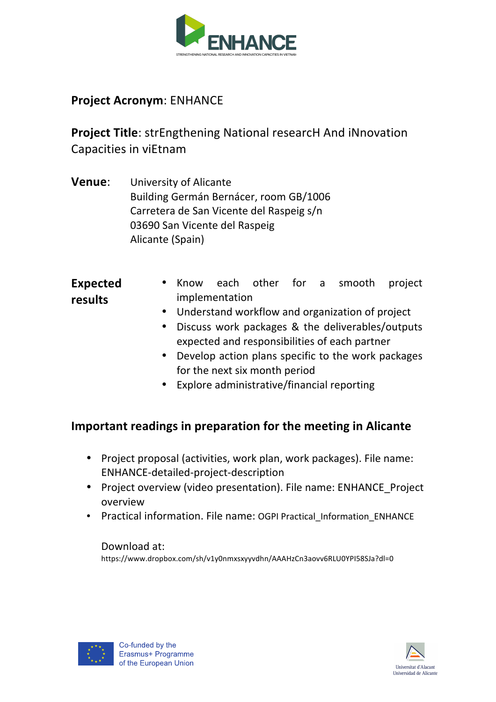

## **Project Acronym: ENHANCE**

**Project Title:** strEngthening National researcH And iNnovation Capacities in viEtnam

**Venue:** University of Alicante Building Germán Bernácer, room GB/1006 Carretera de San Vicente del Raspeig s/n 03690 San Vicente del Raspeig Alicante (Spain)

### **Expected results**

- Know each other for a smooth project implementation
- Understand workflow and organization of project
- Discuss work packages & the deliverables/outputs expected and responsibilities of each partner
- Develop action plans specific to the work packages for the next six month period
- Explore administrative/financial reporting

## **Important readings in preparation for the meeting in Alicante**

- Project proposal (activities, work plan, work packages). File name: ENHANCE-detailed-project-description
- Project overview (video presentation). File name: ENHANCE Project overview
- Practical information. File name: OGPI Practical Information ENHANCE

#### Download at:

https://www.dropbox.com/sh/v1y0nmxsxyyvdhn/AAAHzCn3aovv6RLU0YPI58SJa?dl=0



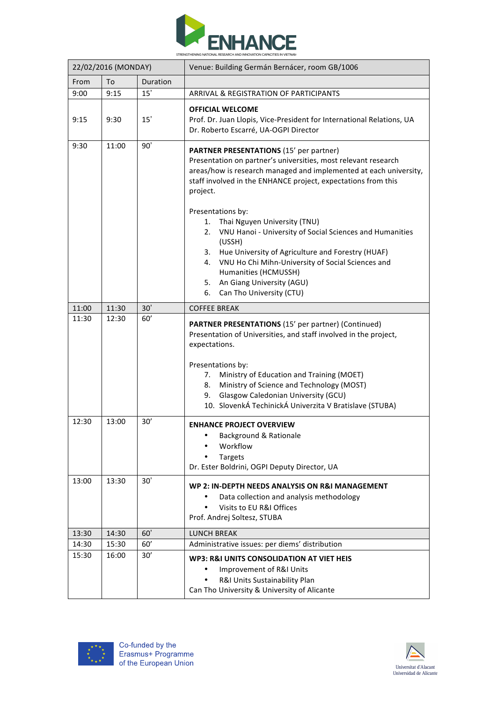

| 22/02/2016 (MONDAY) |       |          | Venue: Building Germán Bernácer, room GB/1006                                                                                                                                                                                                                                                                                                                                                                                                                                                                                                                                                                             |
|---------------------|-------|----------|---------------------------------------------------------------------------------------------------------------------------------------------------------------------------------------------------------------------------------------------------------------------------------------------------------------------------------------------------------------------------------------------------------------------------------------------------------------------------------------------------------------------------------------------------------------------------------------------------------------------------|
| From                | To    | Duration |                                                                                                                                                                                                                                                                                                                                                                                                                                                                                                                                                                                                                           |
| 9:00                | 9:15  | 15'      | ARRIVAL & REGISTRATION OF PARTICIPANTS                                                                                                                                                                                                                                                                                                                                                                                                                                                                                                                                                                                    |
| 9:15                | 9:30  | 15'      | <b>OFFICIAL WELCOME</b><br>Prof. Dr. Juan Llopis, Vice-President for International Relations, UA<br>Dr. Roberto Escarré, UA-OGPI Director                                                                                                                                                                                                                                                                                                                                                                                                                                                                                 |
| 9:30                | 11:00 | 90'      | <b>PARTNER PRESENTATIONS (15' per partner)</b><br>Presentation on partner's universities, most relevant research<br>areas/how is research managed and implemented at each university,<br>staff involved in the ENHANCE project, expectations from this<br>project.<br>Presentations by:<br>Thai Nguyen University (TNU)<br>1.<br>VNU Hanoi - University of Social Sciences and Humanities<br>2.<br>(USSH)<br>Hue University of Agriculture and Forestry (HUAF)<br>3.<br>VNU Ho Chi Mihn-University of Social Sciences and<br>4.<br>Humanities (HCMUSSH)<br>5. An Giang University (AGU)<br>Can Tho University (CTU)<br>6. |
| 11:00               | 11:30 | 30'      | <b>COFFEE BREAK</b>                                                                                                                                                                                                                                                                                                                                                                                                                                                                                                                                                                                                       |
| 11:30               | 12:30 | 60'      | <b>PARTNER PRESENTATIONS (15' per partner) (Continued)</b><br>Presentation of Universities, and staff involved in the project,<br>expectations.<br>Presentations by:<br>Ministry of Education and Training (MOET)<br>7.<br>Ministry of Science and Technology (MOST)<br>8.                                                                                                                                                                                                                                                                                                                                                |
|                     |       |          | Glasgow Caledonian University (GCU)<br>9.<br>10. SlovenkÁ TechinickÁ Univerzita V Bratislave (STUBA)                                                                                                                                                                                                                                                                                                                                                                                                                                                                                                                      |
| 12:30               | 13:00 | 30'      | <b>ENHANCE PROJECT OVERVIEW</b><br>Background & Rationale<br>Workflow<br><b>Targets</b><br>Dr. Ester Boldrini, OGPI Deputy Director, UA                                                                                                                                                                                                                                                                                                                                                                                                                                                                                   |
| 13:00               | 13:30 | 30'      | WP 2: IN-DEPTH NEEDS ANALYSIS ON R&I MANAGEMENT<br>Data collection and analysis methodology<br>Visits to EU R&I Offices<br>Prof. Andrej Soltesz, STUBA                                                                                                                                                                                                                                                                                                                                                                                                                                                                    |
| 13:30               | 14:30 | 60'      | <b>LUNCH BREAK</b>                                                                                                                                                                                                                                                                                                                                                                                                                                                                                                                                                                                                        |
| 14:30               | 15:30 | 60'      | Administrative issues: per diems' distribution                                                                                                                                                                                                                                                                                                                                                                                                                                                                                                                                                                            |
| 15:30               | 16:00 | 30'      | WP3: R&I UNITS CONSOLIDATION AT VIET HEIS<br>Improvement of R&I Units<br>R&I Units Sustainability Plan<br>Can Tho University & University of Alicante                                                                                                                                                                                                                                                                                                                                                                                                                                                                     |